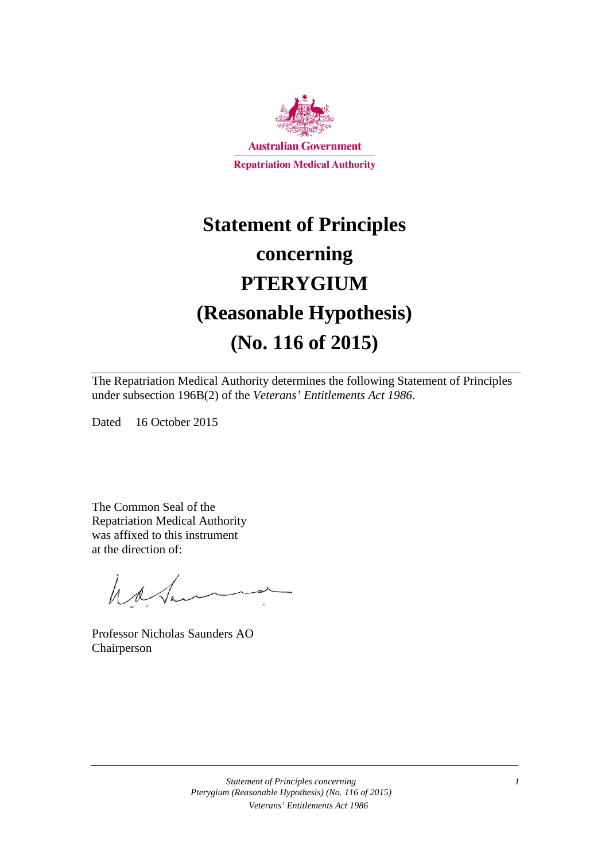

# **Statement of Principles concerning PTERYGIUM (Reasonable Hypothesis) (No. 116 of 2015)**

The Repatriation Medical Authority determines the following Statement of Principles under subsection 196B(2) of the *Veterans' Entitlements Act 1986*.

Dated 16 October 2015

The Common Seal of the Repatriation Medical Authority was affixed to this instrument at the direction of:

hatan

Professor Nicholas Saunders AO Chairperson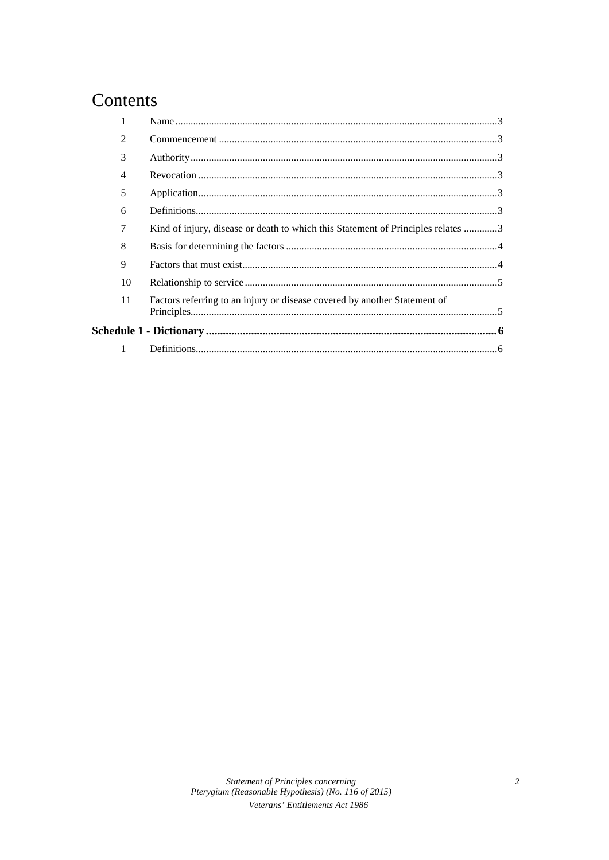### Contents

| $\mathfrak{D}$ |                                                                                  |  |
|----------------|----------------------------------------------------------------------------------|--|
| 3              |                                                                                  |  |
| 4              |                                                                                  |  |
| 5              |                                                                                  |  |
| 6              |                                                                                  |  |
| 7              | Kind of injury, disease or death to which this Statement of Principles relates 3 |  |
| 8              |                                                                                  |  |
| 9              |                                                                                  |  |
| 10             |                                                                                  |  |
| 11             | Factors referring to an injury or disease covered by another Statement of        |  |
|                |                                                                                  |  |
| 1              |                                                                                  |  |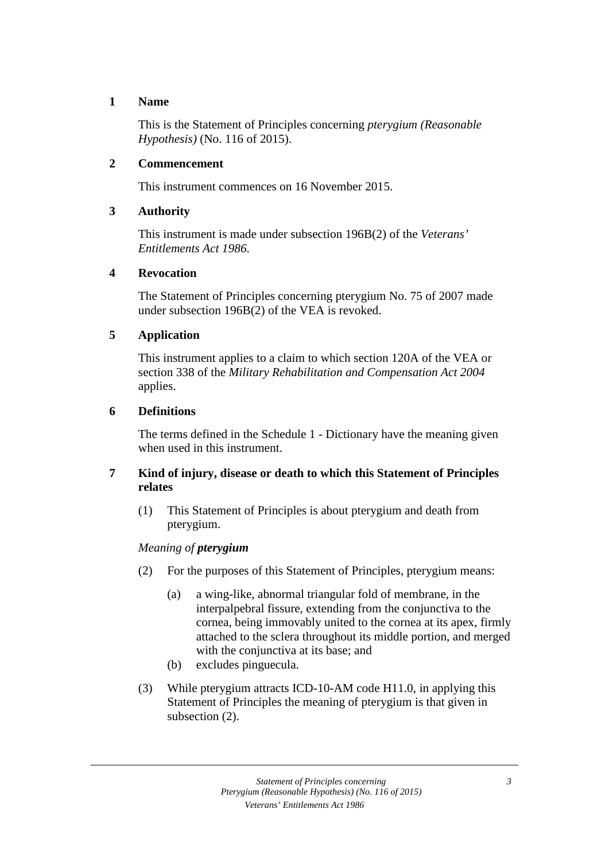#### **1 Name**

This is the Statement of Principles concerning *pterygium (Reasonable Hypothesis)* (No. 116 of 2015).

#### **2 Commencement**

This instrument commences on 16 November 2015.

#### **3 Authority**

This instrument is made under subsection 196B(2) of the *Veterans' Entitlements Act 1986*.

#### **4 Revocation**

The Statement of Principles concerning pterygium No. 75 of 2007 made under subsection 196B(2) of the VEA is revoked.

#### **5 Application**

This instrument applies to a claim to which section 120A of the VEA or section 338 of the *Military Rehabilitation and Compensation Act 2004* applies.

#### **6 Definitions**

The terms defined in the Schedule 1 - Dictionary have the meaning given when used in this instrument.

#### **7 Kind of injury, disease or death to which this Statement of Principles relates**

(1) This Statement of Principles is about pterygium and death from pterygium.

#### *Meaning of pterygium*

- (2) For the purposes of this Statement of Principles, pterygium means:
	- (a) a wing-like, abnormal triangular fold of membrane, in the interpalpebral fissure, extending from the conjunctiva to the cornea, being immovably united to the cornea at its apex, firmly attached to the sclera throughout its middle portion, and merged with the conjunctiva at its base; and
	- (b) excludes pinguecula.
- (3) While pterygium attracts ICD-10-AM code H11.0, in applying this Statement of Principles the meaning of pterygium is that given in subsection (2).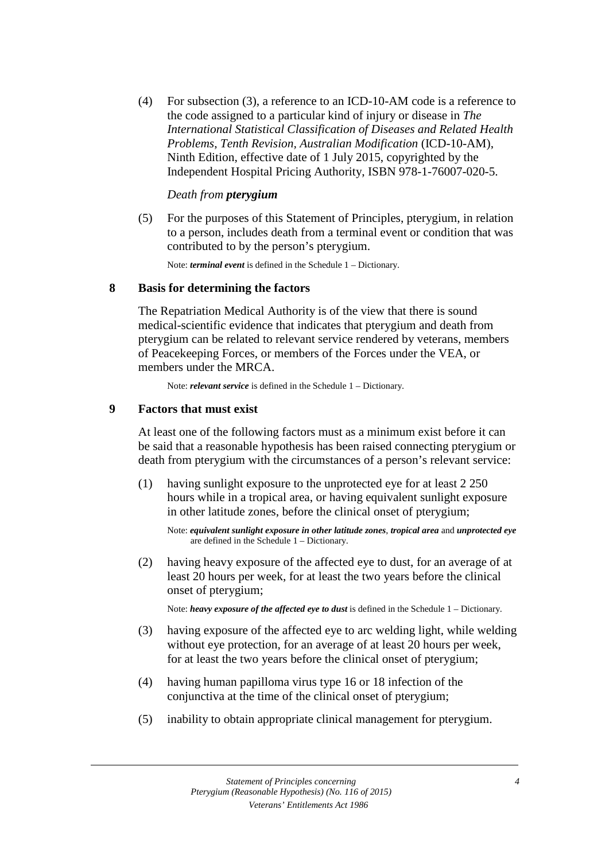(4) For subsection (3), a reference to an ICD-10-AM code is a reference to the code assigned to a particular kind of injury or disease in *The International Statistical Classification of Diseases and Related Health Problems*, *Tenth Revision, Australian Modification* (ICD-10-AM), Ninth Edition, effective date of 1 July 2015, copyrighted by the Independent Hospital Pricing Authority, ISBN 978-1-76007-020-5.

#### *Death from pterygium*

(5) For the purposes of this Statement of Principles, pterygium, in relation to a person, includes death from a terminal event or condition that was contributed to by the person's pterygium.

Note: *terminal event* is defined in the Schedule 1 – Dictionary.

#### **8 Basis for determining the factors**

The Repatriation Medical Authority is of the view that there is sound medical-scientific evidence that indicates that pterygium and death from pterygium can be related to relevant service rendered by veterans, members of Peacekeeping Forces, or members of the Forces under the VEA, or members under the MRCA.

Note: *relevant service* is defined in the Schedule 1 – Dictionary.

#### **9 Factors that must exist**

At least one of the following factors must as a minimum exist before it can be said that a reasonable hypothesis has been raised connecting pterygium or death from pterygium with the circumstances of a person's relevant service:

(1) having sunlight exposure to the unprotected eye for at least 2 250 hours while in a tropical area, or having equivalent sunlight exposure in other latitude zones, before the clinical onset of pterygium;

Note: *equivalent sunlight exposure in other latitude zones*, *tropical area* and *unprotected eye* are defined in the Schedule 1 – Dictionary.

(2) having heavy exposure of the affected eye to dust, for an average of at least 20 hours per week, for at least the two years before the clinical onset of pterygium;

Note: *heavy exposure of the affected eye to dust* is defined in the Schedule 1 – Dictionary.

- (3) having exposure of the affected eye to arc welding light, while welding without eye protection, for an average of at least 20 hours per week, for at least the two years before the clinical onset of pterygium;
- (4) having human papilloma virus type 16 or 18 infection of the conjunctiva at the time of the clinical onset of pterygium;
- (5) inability to obtain appropriate clinical management for pterygium.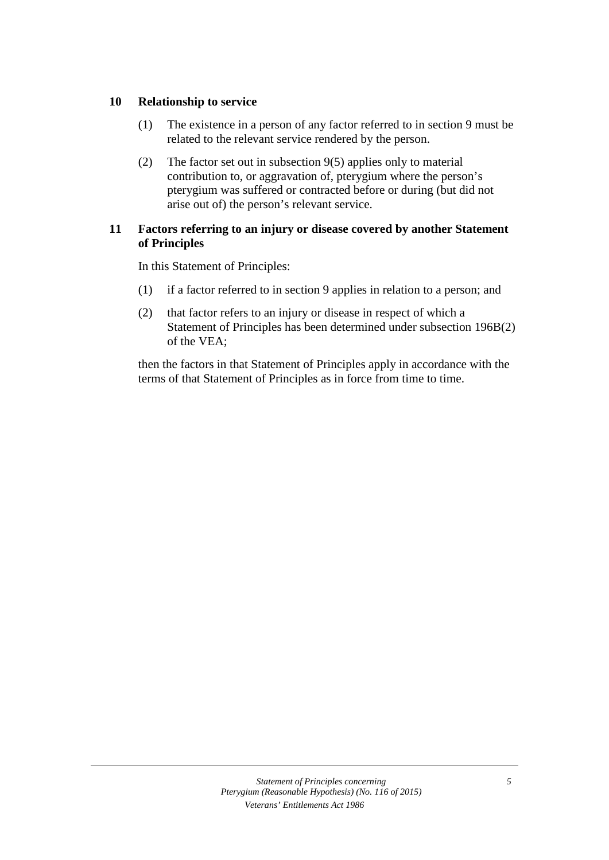#### **10 Relationship to service**

- (1) The existence in a person of any factor referred to in section 9 must be related to the relevant service rendered by the person.
- (2) The factor set out in subsection 9(5) applies only to material contribution to, or aggravation of, pterygium where the person's pterygium was suffered or contracted before or during (but did not arise out of) the person's relevant service.

#### **11 Factors referring to an injury or disease covered by another Statement of Principles**

In this Statement of Principles:

- (1) if a factor referred to in section 9 applies in relation to a person; and
- (2) that factor refers to an injury or disease in respect of which a Statement of Principles has been determined under subsection 196B(2) of the VEA;

then the factors in that Statement of Principles apply in accordance with the terms of that Statement of Principles as in force from time to time.